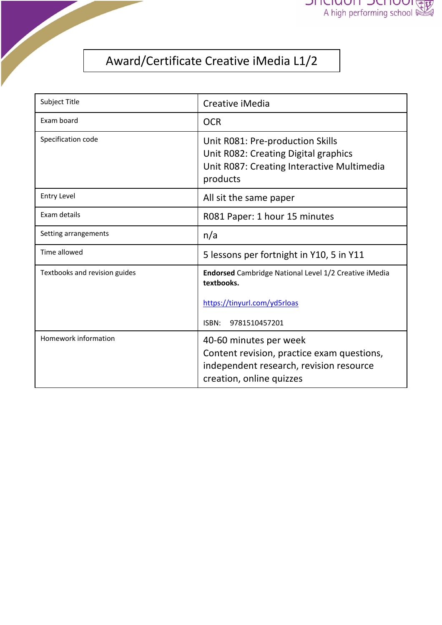



## Award/Certificate Creative iMedia L1/2

| Subject Title                 | Creative iMedia                                                                                                                             |
|-------------------------------|---------------------------------------------------------------------------------------------------------------------------------------------|
| Exam board                    | <b>OCR</b>                                                                                                                                  |
| Specification code            | Unit R081: Pre-production Skills<br>Unit R082: Creating Digital graphics<br>Unit R087: Creating Interactive Multimedia<br>products          |
| <b>Entry Level</b>            | All sit the same paper                                                                                                                      |
| Exam details                  | R081 Paper: 1 hour 15 minutes                                                                                                               |
| Setting arrangements          | n/a                                                                                                                                         |
| Time allowed                  | 5 lessons per fortnight in Y10, 5 in Y11                                                                                                    |
| Textbooks and revision guides | <b>Endorsed</b> Cambridge National Level 1/2 Creative iMedia<br>textbooks.<br>https://tinyurl.com/yd5rloas<br>9781510457201<br>ISBN:        |
| Homework information          | 40-60 minutes per week<br>Content revision, practice exam questions,<br>independent research, revision resource<br>creation, online quizzes |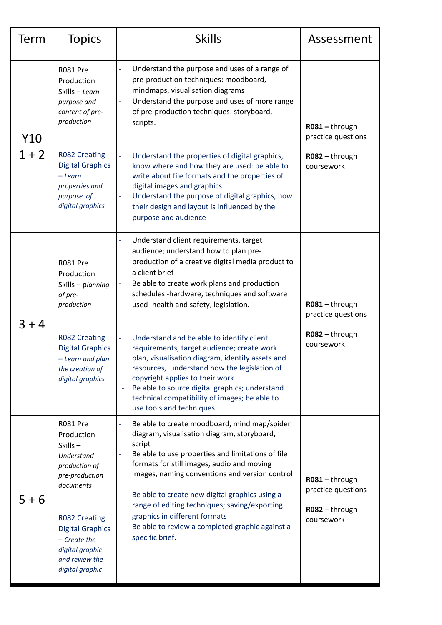| Term           | <b>Topics</b>                                                                                                                                                                                                                | <b>Skills</b>                                                                                                                                                                                                                                                                                                                                                                                                                                                        | Assessment                                                         |
|----------------|------------------------------------------------------------------------------------------------------------------------------------------------------------------------------------------------------------------------------|----------------------------------------------------------------------------------------------------------------------------------------------------------------------------------------------------------------------------------------------------------------------------------------------------------------------------------------------------------------------------------------------------------------------------------------------------------------------|--------------------------------------------------------------------|
| Y10<br>$1 + 2$ | R081 Pre<br>Production<br>Skills - Learn<br>purpose and<br>content of pre-<br>production                                                                                                                                     | Understand the purpose and uses of a range of<br>pre-production techniques: moodboard,<br>mindmaps, visualisation diagrams<br>Understand the purpose and uses of more range<br>÷<br>of pre-production techniques: storyboard,<br>scripts.                                                                                                                                                                                                                            | R081-through<br>practice questions<br>R082 - through<br>coursework |
|                | <b>R082 Creating</b><br><b>Digital Graphics</b><br>– Learn<br>properties and<br>purpose of<br>digital graphics                                                                                                               | Understand the properties of digital graphics,<br>÷,<br>know where and how they are used: be able to<br>write about file formats and the properties of<br>digital images and graphics.<br>Understand the purpose of digital graphics, how<br>÷,<br>their design and layout is influenced by the<br>purpose and audience                                                                                                                                              |                                                                    |
| $3 + 4$        | <b>R081 Pre</b><br>Production<br>Skills - planning<br>of pre-<br>production                                                                                                                                                  | Understand client requirements, target<br>audience; understand how to plan pre-<br>production of a creative digital media product to<br>a client brief<br>Be able to create work plans and production<br>÷<br>schedules -hardware, techniques and software<br>used -health and safety, legislation.                                                                                                                                                                  | R081-through<br>practice questions                                 |
|                | <b>R082 Creating</b><br><b>Digital Graphics</b><br>- Learn and plan<br>the creation of<br>digital graphics                                                                                                                   | Understand and be able to identify client<br>$\Box$<br>requirements, target audience; create work<br>plan, visualisation diagram, identify assets and<br>resources, understand how the legislation of<br>copyright applies to their work<br>Be able to source digital graphics; understand<br>technical compatibility of images; be able to<br>use tools and techniques                                                                                              | R082 - through<br>coursework                                       |
| $5 + 6$        | R081 Pre<br>Production<br>Skills-<br>Understand<br>production of<br>pre-production<br>documents<br><b>R082 Creating</b><br><b>Digital Graphics</b><br>$-c$ reate the<br>digital graphic<br>and review the<br>digital graphic | Be able to create moodboard, mind map/spider<br>diagram, visualisation diagram, storyboard,<br>script<br>Be able to use properties and limitations of file<br>formats for still images, audio and moving<br>images, naming conventions and version control<br>Be able to create new digital graphics using a<br>range of editing techniques; saving/exporting<br>graphics in different formats<br>Be able to review a completed graphic against a<br>specific brief. | R081-through<br>practice questions<br>R082 - through<br>coursework |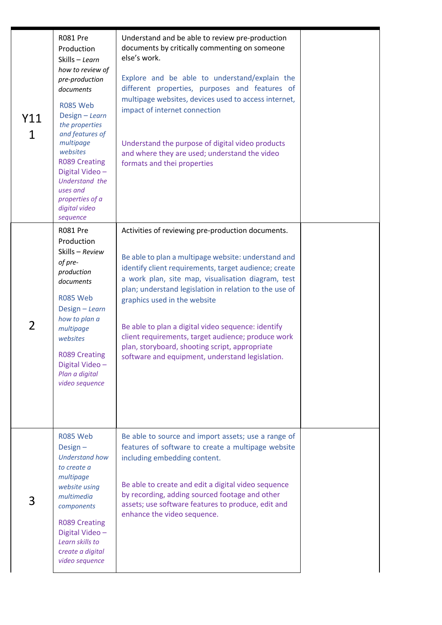| Y11<br>1 | R081 Pre<br>Production<br>Skills - Learn<br>how to review of<br>pre-production<br>documents<br>R085 Web<br>Design - Learn<br>the properties<br>and features of<br>multipage<br>websites<br><b>R089 Creating</b><br>Digital Video -<br>Understand the<br>uses and<br>properties of a<br>digital video<br>sequence | Understand and be able to review pre-production<br>documents by critically commenting on someone<br>else's work.<br>Explore and be able to understand/explain the<br>different properties, purposes and features of<br>multipage websites, devices used to access internet,<br>impact of internet connection<br>Understand the purpose of digital video products<br>and where they are used; understand the video<br>formats and thei properties                                                                                   |  |
|----------|------------------------------------------------------------------------------------------------------------------------------------------------------------------------------------------------------------------------------------------------------------------------------------------------------------------|------------------------------------------------------------------------------------------------------------------------------------------------------------------------------------------------------------------------------------------------------------------------------------------------------------------------------------------------------------------------------------------------------------------------------------------------------------------------------------------------------------------------------------|--|
| 2        | <b>R081 Pre</b><br>Production<br>Skills - Review<br>of pre-<br>production<br>documents<br><b>R085 Web</b><br>Design - Learn<br>how to plan a<br>multipage<br>websites<br><b>R089 Creating</b><br>Digital Video -<br>Plan a digital<br>video sequence                                                             | Activities of reviewing pre-production documents.<br>Be able to plan a multipage website: understand and<br>identify client requirements, target audience; create<br>a work plan, site map, visualisation diagram, test<br>plan; understand legislation in relation to the use of<br>graphics used in the website<br>Be able to plan a digital video sequence: identify<br>client requirements, target audience; produce work<br>plan, storyboard, shooting script, appropriate<br>software and equipment, understand legislation. |  |
| 3        | R085 Web<br>Design $-$<br><b>Understand how</b><br>to create a<br>multipage<br>website using<br>multimedia<br>components<br><b>R089 Creating</b><br>Digital Video -<br>Learn skills to<br>Create a digital<br>video sequence                                                                                     | Be able to source and import assets; use a range of<br>features of software to create a multipage website<br>including embedding content.<br>Be able to create and edit a digital video sequence<br>by recording, adding sourced footage and other<br>assets; use software features to produce, edit and<br>enhance the video sequence.                                                                                                                                                                                            |  |